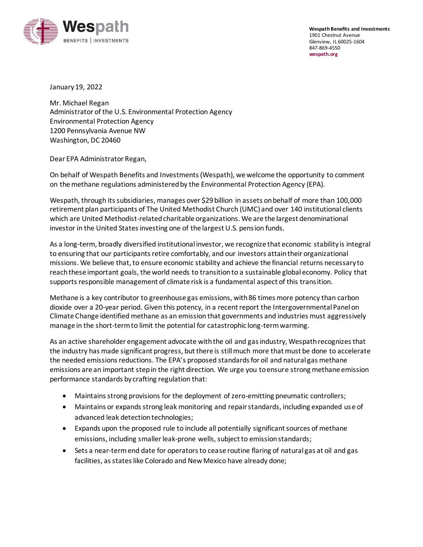

**Wespath Benefits and Investments** 1901 Chestnut Avenue Glenview, IL 60025-1604 847-869-4550 **[wespath.org](https://www.wespath.org/)**

January 19, 2022

Mr. Michael Regan Administrator of the U.S. Environmental Protection Agency Environmental Protection Agency 1200 Pennsylvania Avenue NW Washington, DC 20460

Dear EPA Administrator Regan,

On behalf of Wespath Benefits and Investments (Wespath), we welcome the opportunity to comment on the methane regulations administered by the Environmental Protection Agency (EPA).

Wespath, through its subsidiaries, manages over \$29 billion in assets on behalf of more than 100,000 retirement plan participants of The United Methodist Church (UMC) and over 140 institutional clients which are United Methodist-related charitable organizations. We are the largest denominational investor in the United States investing one of the largest U.S. pension funds.

As a long-term, broadly diversified institutional investor, we recognize that economic stability is integral to ensuring that our participants retire comfortably, and our investors attain their organizational missions. We believe that, to ensure economic stability and achieve the financial returns necessary to reach these important goals, the world needs to transition to a sustainable global economy. Policy that supports responsible management of climate risk is a fundamental aspect of this transition.

Methane is a key contributor to greenhouse gas emissions, with 86 times more potency than carbon dioxide over a 20-year period. Given this potency, in a recent report the Intergovernmental Panel on Climate Change identified methane as an emission that governments and industries must aggressively manage in the short-term to limit the potential for catastrophic long-term warming.

As an active shareholder engagement advocate with the oil and gas industry, Wespath recognizes that the industry has made significant progress, but there is still much more that must be done to accelerate the needed emissions reductions. The EPA's proposed standards for oil and natural gas methane emissions are an important step in the right direction. We urge you to ensure strong methane emission performance standards by crafting regulation that:

- Maintains strong provisions for the deployment of zero-emitting pneumatic controllers;
- Maintains or expands strong leak monitoring and repair standards, including expanded use of advanced leak detection technologies;
- Expands upon the proposed rule to include all potentially significant sources of methane emissions, including smaller leak-prone wells, subject to emission standards;
- Sets a near-term end date for operators to cease routine flaring of natural gas at oil and gas facilities, as states like Colorado and New Mexico have already done;